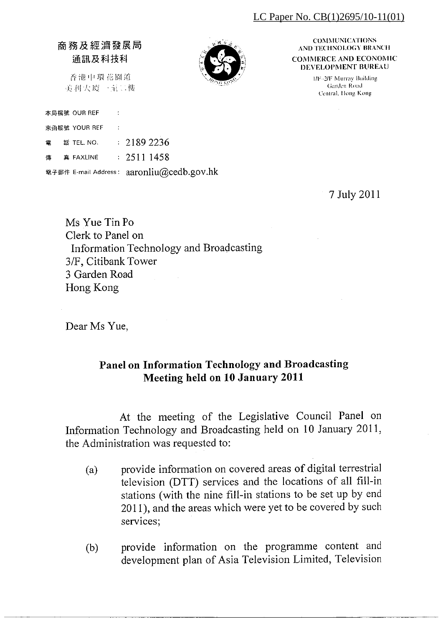#### LC Paper No.  $CB(1)2695/10-11(01)$

### 商務及經濟發展局 通訊及科技科

香港中環花園道 美利大厦一至二樓



**COMMUNICATIONS** AND TECHNOLOGY BRANCH **COMMERCE AND ECONOMIC DEVELOPMENT BUREAU** 

> 1/F-2/F Murray Building Garden Road Central, Hong Kong

本局檔號 OUR REF

來函檔號 YOUR REF

 $\therefore$  2189 2236 話 TEL. NO. 靈

 $\div$  2511 1458 直 FAXLINE 傳

電子郵件 E-mail Address: aaronliu@cedb.gov.hk

7 July 2011

Ms Yue Tin Po Clerk to Panel on Information Technology and Broadcasting 3/F, Citibank Tower 3 Garden Road Hong Kong

Dear Ms Yue,

### Panel on Information Technology and Broadcasting Meeting held on 10 January 2011

At the meeting of the Legislative Council Panel on Information Technology and Broadcasting held on 10 January 2011, the Administration was requested to:

- provide information on covered areas of digital terrestrial  $(a)$ television (DTT) services and the locations of all fill-in stations (with the nine fill-in stations to be set up by end 2011), and the areas which were yet to be covered by such services;
- provide information on the programme content and  $(b)$ development plan of Asia Television Limited, Television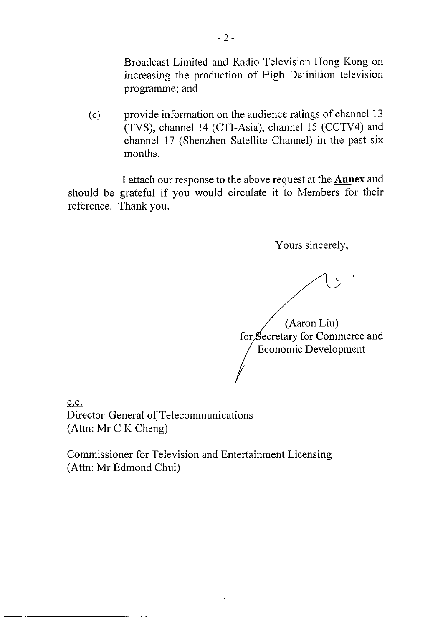Broadcast Limited and Radio Television Hong Kong on increasing the production of High Definition television programme; and

provide information on the audience ratings of channel 13  $(c)$ (TVS), channel 14 (CTI-Asia), channel 15 (CCTV4) and channel 17 (Shenzhen Satellite Channel) in the past six months.

I attach our response to the above request at the **Annex** and should be grateful if you would circulate it to Members for their reference. Thank you.

Yours sincerely,

(Aaron Liu)

for Secretary for Commerce and Economic Development

c.c.

Director-General of Telecommunications (Attn: Mr C K Cheng)

Commissioner for Television and Entertainment Licensing (Attn: Mr Edmond Chui)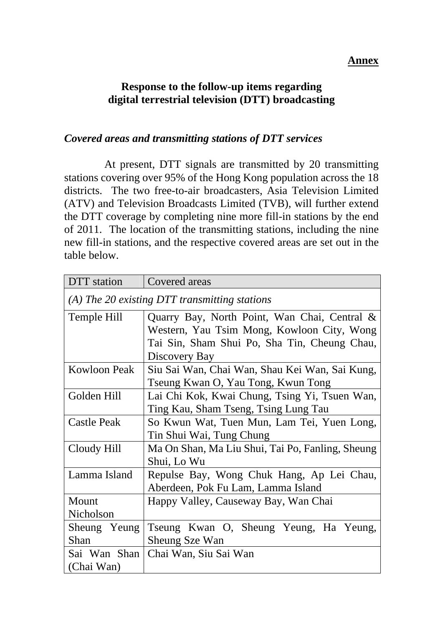#### **Annex**

### **Response to the follow-up items regarding digital terrestrial television (DTT) broadcasting**

#### *Covered areas and transmitting stations of DTT services*

 At present, DTT signals are transmitted by 20 transmitting stations covering over 95% of the Hong Kong population across the 18 districts. The two free-to-air broadcasters, Asia Television Limited (ATV) and Television Broadcasts Limited (TVB), will further extend the DTT coverage by completing nine more fill-in stations by the end of 2011. The location of the transmitting stations, including the nine new fill-in stations, and the respective covered areas are set out in the table below.

| DTT station                                     | Covered areas                                    |
|-------------------------------------------------|--------------------------------------------------|
| $(A)$ The 20 existing DTT transmitting stations |                                                  |
| Temple Hill                                     | Quarry Bay, North Point, Wan Chai, Central &     |
|                                                 | Western, Yau Tsim Mong, Kowloon City, Wong       |
|                                                 | Tai Sin, Sham Shui Po, Sha Tin, Cheung Chau,     |
|                                                 | Discovery Bay                                    |
| <b>Kowloon Peak</b>                             | Siu Sai Wan, Chai Wan, Shau Kei Wan, Sai Kung,   |
|                                                 | Tseung Kwan O, Yau Tong, Kwun Tong               |
| Golden Hill                                     | Lai Chi Kok, Kwai Chung, Tsing Yi, Tsuen Wan,    |
|                                                 | Ting Kau, Sham Tseng, Tsing Lung Tau             |
| <b>Castle Peak</b>                              | So Kwun Wat, Tuen Mun, Lam Tei, Yuen Long,       |
|                                                 | Tin Shui Wai, Tung Chung                         |
| Cloudy Hill                                     | Ma On Shan, Ma Liu Shui, Tai Po, Fanling, Sheung |
|                                                 | Shui, Lo Wu                                      |
| Lamma Island                                    | Repulse Bay, Wong Chuk Hang, Ap Lei Chau,        |
|                                                 | Aberdeen, Pok Fu Lam, Lamma Island               |
| Mount                                           | Happy Valley, Causeway Bay, Wan Chai             |
| Nicholson                                       |                                                  |
| Sheung Yeung                                    | Tseung Kwan O, Sheung Yeung, Ha Yeung,           |
| Shan                                            | Sheung Sze Wan                                   |
| Sai Wan Shan                                    | Chai Wan, Siu Sai Wan                            |
| (Chai Wan)                                      |                                                  |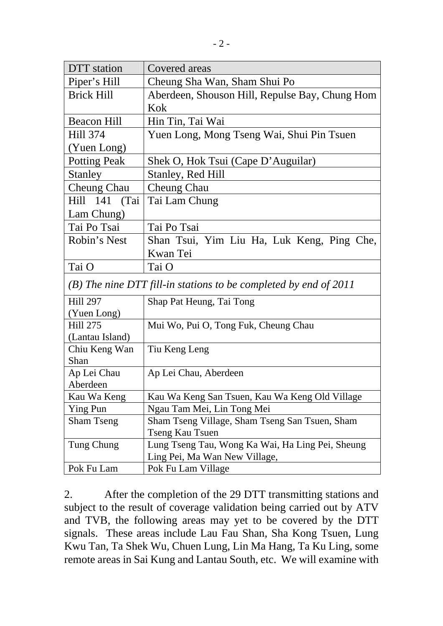| DTT station                                                      | Covered areas                                    |
|------------------------------------------------------------------|--------------------------------------------------|
| Piper's Hill                                                     | Cheung Sha Wan, Sham Shui Po                     |
| <b>Brick Hill</b>                                                | Aberdeen, Shouson Hill, Repulse Bay, Chung Hom   |
|                                                                  | Kok                                              |
| <b>Beacon Hill</b>                                               | Hin Tin, Tai Wai                                 |
| <b>Hill 374</b>                                                  | Yuen Long, Mong Tseng Wai, Shui Pin Tsuen        |
| (Yuen Long)                                                      |                                                  |
| <b>Potting Peak</b>                                              | Shek O, Hok Tsui (Cape D'Auguilar)               |
| <b>Stanley</b>                                                   | Stanley, Red Hill                                |
| <b>Cheung Chau</b>                                               | Cheung Chau                                      |
| Hill 141 (Tai                                                    | Tai Lam Chung                                    |
| Lam Chung)                                                       |                                                  |
| Tai Po Tsai                                                      | Tai Po Tsai                                      |
| Robin's Nest                                                     | Shan Tsui, Yim Liu Ha, Luk Keng, Ping Che,       |
|                                                                  | Kwan Tei                                         |
| Tai O                                                            | Tai O                                            |
| (B) The nine DTT fill-in stations to be completed by end of 2011 |                                                  |
| <b>Hill 297</b>                                                  | Shap Pat Heung, Tai Tong                         |
| (Yuen Long)                                                      |                                                  |
| <b>Hill 275</b>                                                  | Mui Wo, Pui O, Tong Fuk, Cheung Chau             |
| (Lantau Island)                                                  |                                                  |
| Chiu Keng Wan                                                    | Tiu Keng Leng                                    |
| Shan                                                             |                                                  |
| Ap Lei Chau<br>Aberdeen                                          | Ap Lei Chau, Aberdeen                            |
| Kau Wa Keng                                                      | Kau Wa Keng San Tsuen, Kau Wa Keng Old Village   |
| Ying Pun                                                         | Ngau Tam Mei, Lin Tong Mei                       |
| <b>Sham Tseng</b>                                                | Sham Tseng Village, Sham Tseng San Tsuen, Sham   |
|                                                                  | Tseng Kau Tsuen                                  |
| Tung Chung                                                       | Lung Tseng Tau, Wong Ka Wai, Ha Ling Pei, Sheung |
|                                                                  | Ling Pei, Ma Wan New Village,                    |
| Pok Fu Lam                                                       | Pok Fu Lam Village                               |

2. After the completion of the 29 DTT transmitting stations and subject to the result of coverage validation being carried out by ATV and TVB, the following areas may yet to be covered by the DTT signals. These areas include Lau Fau Shan, Sha Kong Tsuen, Lung Kwu Tan, Ta Shek Wu, Chuen Lung, Lin Ma Hang, Ta Ku Ling, some remote areas in Sai Kung and Lantau South, etc. We will examine with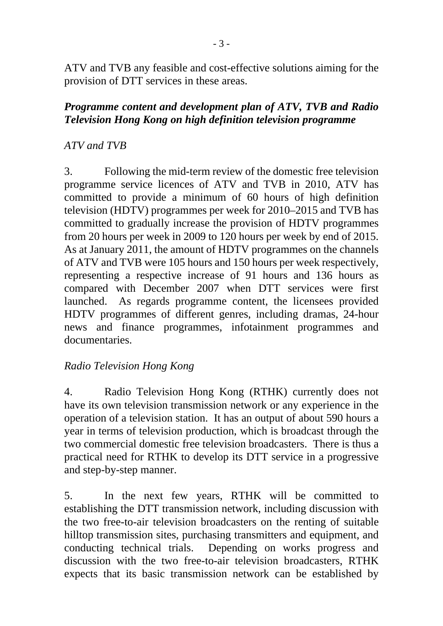ATV and TVB any feasible and cost-effective solutions aiming for the provision of DTT services in these areas.

## *Programme content and development plan of ATV, TVB and Radio Television Hong Kong on high definition television programme*

# *ATV and TVB*

3. Following the mid-term review of the domestic free television programme service licences of ATV and TVB in 2010, ATV has committed to provide a minimum of 60 hours of high definition television (HDTV) programmes per week for 2010–2015 and TVB has committed to gradually increase the provision of HDTV programmes from 20 hours per week in 2009 to 120 hours per week by end of 2015. As at January 2011, the amount of HDTV programmes on the channels of ATV and TVB were 105 hours and 150 hours per week respectively, representing a respective increase of 91 hours and 136 hours as compared with December 2007 when DTT services were first launched. As regards programme content, the licensees provided HDTV programmes of different genres, including dramas, 24-hour news and finance programmes, infotainment programmes and documentaries.

# *Radio Television Hong Kong*

4. Radio Television Hong Kong (RTHK) currently does not have its own television transmission network or any experience in the operation of a television station. It has an output of about 590 hours a year in terms of television production, which is broadcast through the two commercial domestic free television broadcasters. There is thus a practical need for RTHK to develop its DTT service in a progressive and step-by-step manner.

5. In the next few years, RTHK will be committed to establishing the DTT transmission network, including discussion with the two free-to-air television broadcasters on the renting of suitable hilltop transmission sites, purchasing transmitters and equipment, and conducting technical trials. Depending on works progress and discussion with the two free-to-air television broadcasters, RTHK expects that its basic transmission network can be established by